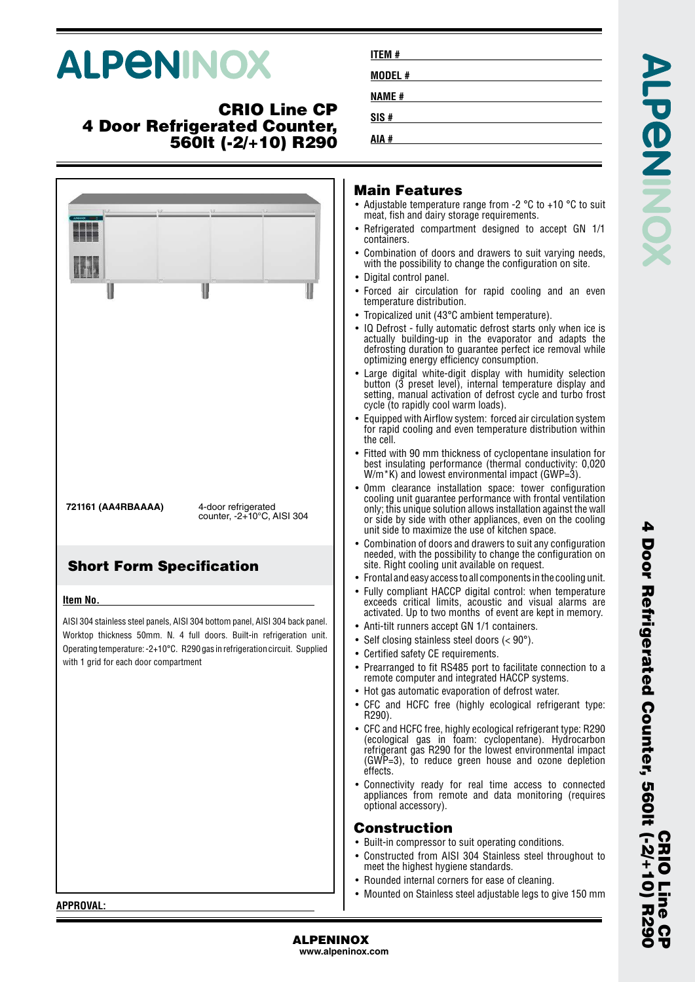# **ALPENINOX**

## **CRIO Line CP 4 Door Refrigerated Counter, 560lt (-2/+10) R290**

| ║                                                                                                                                                                                                                                                                                                             | I                                                                                    | U | Main F<br>• Adjustable<br>meat, fish<br>• Refrigerat<br>containers<br>• Combinat<br>with the p<br>• Digital co<br>• Forced a<br>temperatu<br>• Tropicaliz<br>$\bullet$ IQ Defros<br>actually l<br>defrostino<br>optimizing<br>$\bullet$ Large dig<br>button (3<br>setting, m<br>cycle (to i<br>$\bullet$ Equipped<br>for rapid<br>the cell.                    |
|---------------------------------------------------------------------------------------------------------------------------------------------------------------------------------------------------------------------------------------------------------------------------------------------------------------|--------------------------------------------------------------------------------------|---|----------------------------------------------------------------------------------------------------------------------------------------------------------------------------------------------------------------------------------------------------------------------------------------------------------------------------------------------------------------|
| 721161 (AA4RBAAAA)                                                                                                                                                                                                                                                                                            | 4-door refrigerated<br>counter, -2+10°C, AISI 304<br><b>Short Form Specification</b> |   | $\bullet\,$ Fitted witl<br>best insu<br>$W/m$ *K) a<br>$\bullet$ 0mm cle<br>cooling u<br>only; this<br>or side by<br>unit side i<br>• Combinat<br>needed, w<br>site. Right<br>$\bullet$ Frontal an                                                                                                                                                             |
| Item No.<br>AISI 304 stainless steel panels, AISI 304 bottom panel, AISI 304 back panel.<br>Worktop thickness 50mm. N. 4 full doors. Built-in refrigeration unit.<br>Operating temperature: -2+10°C. R290 gas in refrigeration circuit. Supplied<br>with 1 grid for each door compartment<br><b>APPROVAL:</b> |                                                                                      |   | • Fully com<br>exceeds<br>activated.<br>• Anti-tilt ru<br>• Self closin<br>• Certified s<br>• Prearrand<br>remote co<br>$\bullet$ Hot gas a<br>• CFC and<br>R290).<br>• CFC and H<br>(ecologica<br>refrigeran<br>$(GWP=3)$<br>effects.<br>Connectiv<br>appliance<br>optional a<br>Constr<br>• Built-in co<br>• Construct<br>meet the<br>• Rounded<br>• Mounted |

| <b>ITEM#</b> |  |
|--------------|--|
| MODEL #      |  |
| <b>NAME#</b> |  |
| SIS#         |  |
| AIA #        |  |

#### **Main Features**

- le temperature range from -2  $^{\circ}$ C to +10  $^{\circ}$ C to suit and dairy storage requirements.
- Refrigerated compartment designed to accept GN 1/1 containers.
- tion of doors and drawers to suit varying needs, ossibility to change the configuration on site.
- ntrol panel.
- ir circulation for rapid cooling and an even ure distribution.
- red unit (43°C ambient temperature).
- st fully automatic defrost starts only when ice is building-up in the evaporator and adapts the g duration to guarantee perfect ice removal while  $\bar{g}$  energy efficiency consumption.
- Large digital white-digit display with humidity selection button (3 preset level), internal temperature display and nanual activation of defrost cycle and turbo frost rapidly cool warm loads).
- with Airflow system: forced air circulation system cooling and even temperature distribution within
- h 90 mm thickness of cyclopentane insulation for lating performance (thermal conductivity: 0,020 and lowest environmental impact (GWP=3).
- earance installation space: tower configuration nit guarantee performance with frontal ventilation unique solution allows installation against the wall y side with other appliances, even on the cooling to maximize the use of kitchen space.
- tion of doors and drawers to suit any configuration with the possibility to change the configuration on it cooling unit available on request.
- Id easy access to all components in the cooling unit.
- pliant HACCP digital control: when temperature critical limits, acoustic and visual alarms are Up to two months of event are kept in memory.
- unners accept GN 1/1 containers.
- ng stainless steel doors  $(< 90^{\circ})$ .
- safety CE requirements.
- ged to fit RS485 port to facilitate connection to a omputer and integrated HACCP systems.
- utomatic evaporation of defrost water.
- HCFC free (highly ecological refrigerant type:
- HCFC free, highly ecological refrigerant type: R290 al gas in foam: cyclopentane). Hydrocarbon refrigerant gas R290 for the lowest environmental impact to reduce green house and ozone depletion
- vity ready for real time access to connected is from remote and data monitoring (requires accessory).

#### **Construction**

- ompressor to suit operating conditions.
- ted from AISI 304 Stainless steel throughout to highest hygiene standards.
- internal corners for ease of cleaning.
- on Stainless steel adjustable legs to give 150 mm

**APPROVAL:**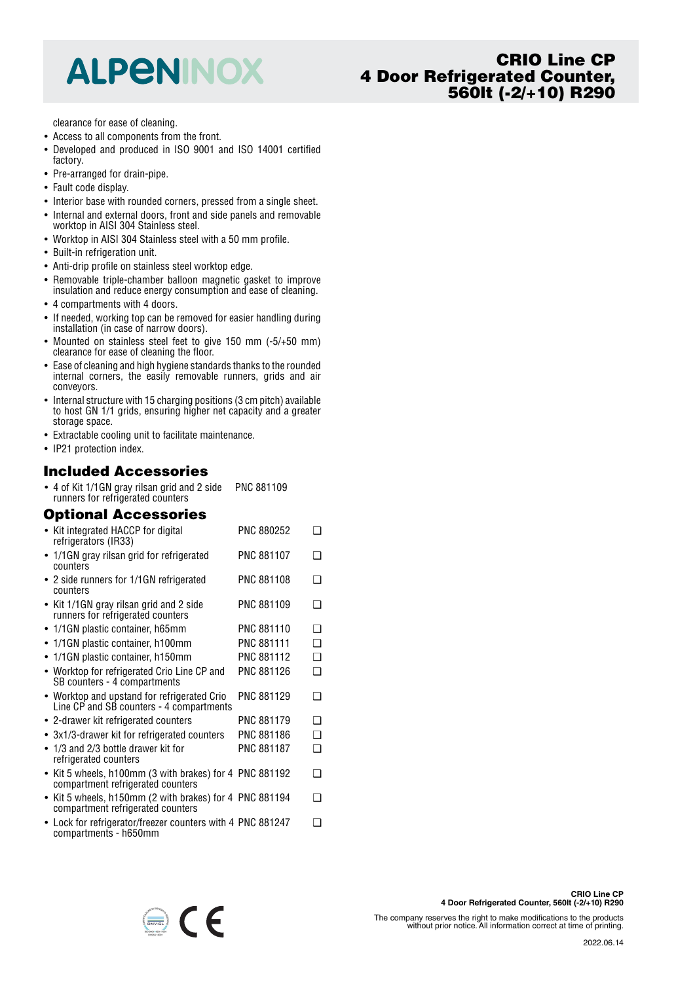## **ALPENINOX**

## **CRIO Line CP 4 Door Refrigerated Counter, 560lt (-2/+10) R290**

clearance for ease of cleaning.

- Access to all components from the front.
- • Developed and produced in ISO 9001 and ISO 14001 certified factory.
- Pre-arranged for drain-pipe.
- Fault code display.
- Interior base with rounded corners, pressed from a single sheet.
- Internal and external doors, front and side panels and removable worktop in AISI 304 Stainless steel.
- Worktop in AISI 304 Stainless steel with a 50 mm profile.
- Built-in refrigeration unit.
- Anti-drip profile on stainless steel worktop edge.
- Removable triple-chamber balloon magnetic gasket to improve insulation and reduce energy consumption and ease of cleaning.
- 4 compartments with 4 doors.
- If needed, working top can be removed for easier handling during installation (in case of narrow doors).
- Mounted on stainless steel feet to give 150 mm (-5/+50 mm) clearance for ease of cleaning the floor.
- Ease of cleaning and high hygiene standards thanks to the rounded internal corners, the easily removable runners, grids and air conveyors.
- Internal structure with 15 charging positions (3 cm pitch) available to host GN 1/1 grids, ensuring higher net capacity and a greater storage space.
- Extractable cooling unit to facilitate maintenance.
- IP21 protection index.

#### **Included Accessories**

• 4 of Kit 1/1GN gray rilsan grid and 2 side runners for refrigerated counters PNC 881109

#### **Optional Accessories**

|           | • Kit integrated HACCP for digital<br>refrigerators (IR33)                                   | PNC 880252        | ר |
|-----------|----------------------------------------------------------------------------------------------|-------------------|---|
|           | • 1/1GN gray rilsan grid for refrigerated<br>counters                                        | <b>PNC 881107</b> | ר |
|           | • 2 side runners for 1/1GN refrigerated<br>counters                                          | PNC 881108        | ∩ |
|           | • Kit 1/1GN gray rilsan grid and 2 side<br>runners for refrigerated counters                 | PNC 881109        | ר |
|           | • 1/1GN plastic container, h65mm                                                             | PNC 881110        | ∩ |
|           | 1/1GN plastic container, h100mm                                                              | PNC 881111        | ∩ |
|           | • 1/1GN plastic container, h150mm                                                            | PNC 881112        | ◻ |
|           | • Worktop for refrigerated Crio Line CP and<br>SB counters - 4 compartments                  | PNC 881126        | ◻ |
|           | • Worktop and upstand for refrigerated Crio<br>Line CP and SB counters - 4 compartments      | PNC 881129        | ∩ |
|           | • 2-drawer kit refrigerated counters                                                         | <b>PNC 881179</b> | ∩ |
|           | • 3x1/3-drawer kit for refrigerated counters                                                 | PNC 881186        | ◻ |
| $\bullet$ | 1/3 and 2/3 bottle drawer kit for<br>refrigerated counters                                   | <b>PNC 881187</b> | ◻ |
|           | • Kit 5 wheels, h100mm (3 with brakes) for 4 PNC 881192<br>compartment refrigerated counters |                   | ❏ |
|           | • Kit 5 wheels, h150mm (2 with brakes) for 4 PNC 881194<br>compartment refrigerated counters |                   | ∩ |
|           | • Lock for refrigerator/freezer counters with 4 PNC 881247                                   |                   | ∩ |

compartments - h650mm

 $\bigoplus$   $\bigcap$ 

**CRIO Line CP**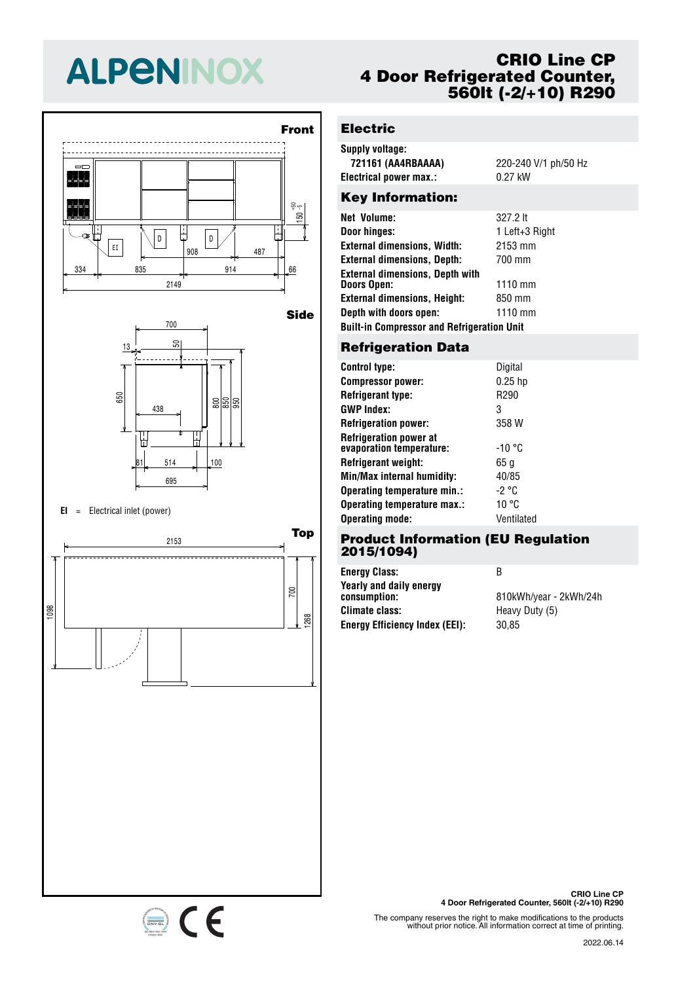# **ALPENINOX**





#### **EI** <sup>=</sup> Electrical inlet (power)

334 835 914 66 <sup>908</sup> <sup>487</sup> EI



## **CRIO Line CP 4 Door Refrigerated Counter, 560lt (-2/+10) R290**

## **Electric**

| Supply voltage:        |                      |
|------------------------|----------------------|
| 721161 (AA4RBAAAA)     | 220-240 V/1 ph/50 Hz |
| Electrical power max.: | $0.27$ kW            |
|                        |                      |

## Key Information:

| Net Volume:                                       | 327.2 lt       |  |  |  |
|---------------------------------------------------|----------------|--|--|--|
| Door hinges:                                      | 1 Left+3 Right |  |  |  |
| <b>External dimensions, Width:</b>                | 2153 mm        |  |  |  |
| <b>External dimensions, Depth:</b>                | 700 mm         |  |  |  |
| <b>External dimensions, Depth with</b>            |                |  |  |  |
| Doors Open:                                       | 1110 mm        |  |  |  |
| <b>External dimensions, Height:</b>               | 850 mm         |  |  |  |
| Depth with doors open:                            | $1110$ mm      |  |  |  |
| <b>Built-in Compressor and Refrigeration Unit</b> |                |  |  |  |
|                                                   |                |  |  |  |

## 700 **Refrigeration Data**

| <b>Control type:</b>                                      | Digital    |
|-----------------------------------------------------------|------------|
| <b>Compressor power:</b>                                  | $0.25$ hp  |
| <b>Refrigerant type:</b>                                  | R290       |
| <b>GWP Index:</b>                                         | 3          |
| <b>Refrigeration power:</b>                               | 358 W      |
| <b>Refrigeration power at</b><br>evaporation temperature: | -10 °C     |
| Refrigerant weight:                                       | 65 g       |
| Min/Max internal humidity:                                | 40/85      |
| Operating temperature min.:                               | -2 °C      |
| Operating temperature max.:                               | 10 °C      |
| <b>Operating mode:</b>                                    | Ventilated |

#### 700 **Product Information (EU Regulation** 50 **2015/1094)**

438 805 855 955 **Energy Efficiency Index (EEI):** 30,85 **Energy Class:** B **Yearly and daily energy Climate class:** Heavy Duty (5)

**consumption:** 810kWh/year - 2kWh/24h

The company reserves the right to make modifications to the products without prior notice. All information correct at time of printing.

#### 2022.06.14